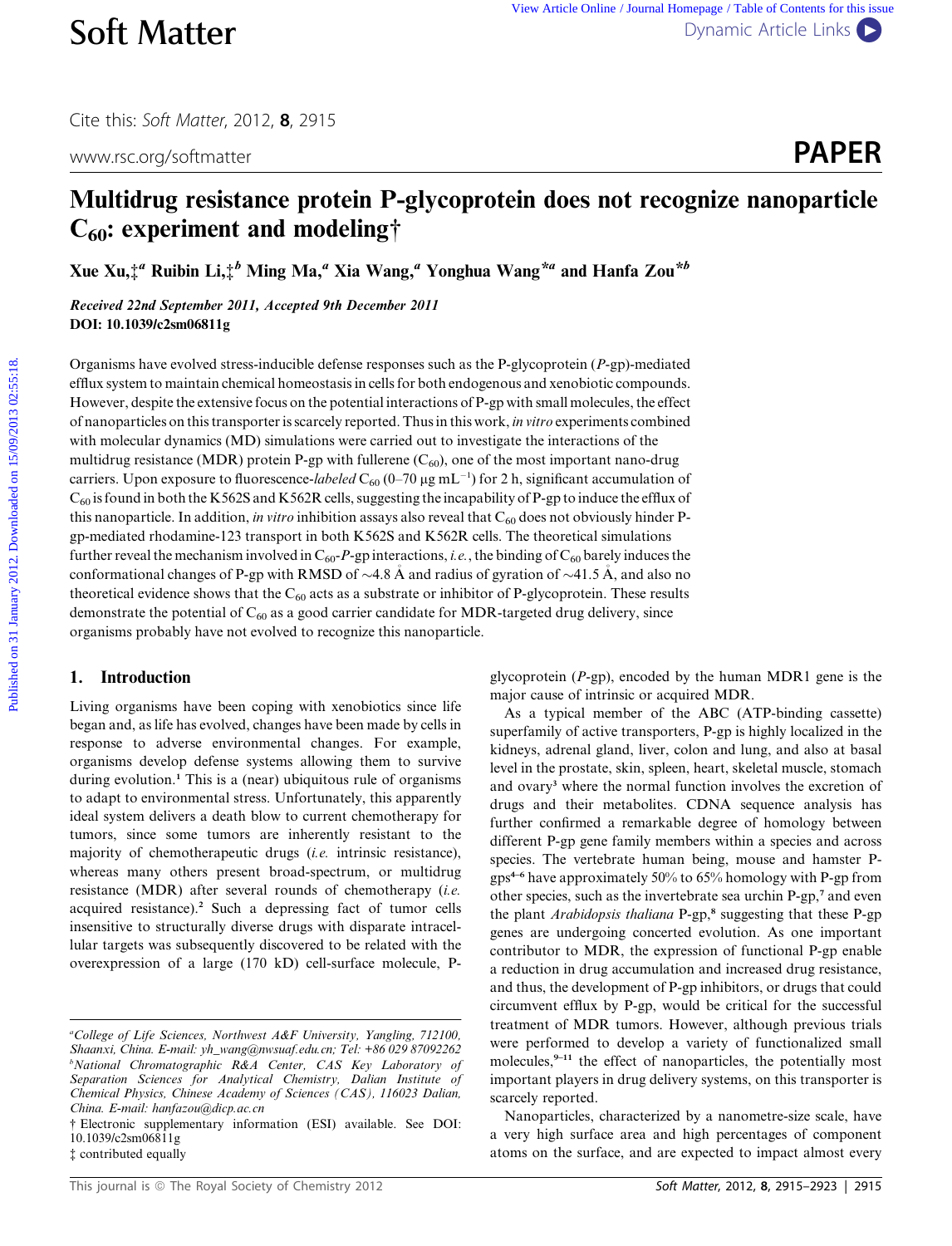Cite this: Soft Matter, 2012, <sup>8</sup>, 2915

www.rsc.org/softmatter **PAPER** 



# Multidrug resistance protein P-glycoprotein does not recognize nanoparticle  $C_{60}$ : experiment and modeling†

Xue Xu, $\ddagger^a$  Ruibin Li, $\ddagger^b$  Ming Ma,<sup>a</sup> Xia Wang,<sup>a</sup> Yonghua Wang<sup>\*a</sup> and Hanfa Zou<sup>\*b</sup>

Received 22nd September 2011, Accepted 9th December 2011 DOI: 10.1039/c2sm06811g

Organisms have evolved stress-inducible defense responses such as the P-glycoprotein (P-gp)-mediated efflux system to maintain chemical homeostasis in cells for both endogenous and xenobiotic compounds. However, despite the extensive focus on the potential interactions of P-gp with small molecules, the effect of nanoparticles on this transporter is scarcely reported. Thus in this work, in vitro experiments combined with molecular dynamics (MD) simulations were carried out to investigate the interactions of the multidrug resistance (MDR) protein P-gp with fullerene  $(C_{60})$ , one of the most important nano-drug carriers. Upon exposure to fluorescence-labeled  $C_{60}$  (0–70  $\mu$ g mL<sup>-1</sup>) for 2 h, significant accumulation of  $C_{60}$  is found in both the K562S and K562R cells, suggesting the incapability of P-gp to induce the efflux of this nanoparticle. In addition, in vitro inhibition assays also reveal that  $C_{60}$  does not obviously hinder Pgp-mediated rhodamine-123 transport in both K562S and K562R cells. The theoretical simulations further reveal the mechanism involved in  $C_{60}P$ -gp interactions, *i.e.*, the binding of  $C_{60}$  barely induces the conformational changes of P-gp with RMSD of  $\sim$  4.8 Å and radius of gyration of  $\sim$  41.5 Å, and also no theoretical evidence shows that the  $C_{60}$  acts as a substrate or inhibitor of P-glycoprotein. These results demonstrate the potential of  $C_{60}$  as a good carrier candidate for MDR-targeted drug delivery, since organisms probably have not evolved to recognize this nanoparticle. **Soft Matter** was also come the Bublished on 31 January 2013. B<br> **Published on 15/09/2013**<br> **PAPER**<br> **Multidrug resistance protein P-glycoprotein does not recognize nanoparticle**<br> **C<sub>60</sub>: experiment and modeling†**<br> **Xue X** 

# 1. Introduction

Living organisms have been coping with xenobiotics since life began and, as life has evolved, changes have been made by cells in response to adverse environmental changes. For example, organisms develop defense systems allowing them to survive during evolution.<sup>1</sup> This is a (near) ubiquitous rule of organisms to adapt to environmental stress. Unfortunately, this apparently ideal system delivers a death blow to current chemotherapy for tumors, since some tumors are inherently resistant to the majority of chemotherapeutic drugs (i.e. intrinsic resistance), whereas many others present broad-spectrum, or multidrug resistance (MDR) after several rounds of chemotherapy (i.e. acquired resistance).<sup>2</sup> Such a depressing fact of tumor cells insensitive to structurally diverse drugs with disparate intracellular targets was subsequently discovered to be related with the overexpression of a large (170 kD) cell-surface molecule, P-

glycoprotein (P-gp), encoded by the human MDR1 gene is the major cause of intrinsic or acquired MDR.

As a typical member of the ABC (ATP-binding cassette) superfamily of active transporters, P-gp is highly localized in the kidneys, adrenal gland, liver, colon and lung, and also at basal level in the prostate, skin, spleen, heart, skeletal muscle, stomach and ovary<sup>3</sup> where the normal function involves the excretion of drugs and their metabolites. CDNA sequence analysis has further confirmed a remarkable degree of homology between different P-gp gene family members within a species and across species. The vertebrate human being, mouse and hamster Pgps4–6 have approximately 50% to 65% homology with P-gp from other species, such as the invertebrate sea urchin P-gp,<sup>7</sup> and even the plant Arabidopsis thaliana P-gp,<sup>8</sup> suggesting that these P-gp genes are undergoing concerted evolution. As one important contributor to MDR, the expression of functional P-gp enable a reduction in drug accumulation and increased drug resistance, and thus, the development of P-gp inhibitors, or drugs that could circumvent efflux by P-gp, would be critical for the successful treatment of MDR tumors. However, although previous trials were performed to develop a variety of functionalized small molecules,<sup>9-11</sup> the effect of nanoparticles, the potentially most important players in drug delivery systems, on this transporter is scarcely reported.

Nanoparticles, characterized by a nanometre-size scale, have a very high surface area and high percentages of component atoms on the surface, and are expected to impact almost every

<sup>&</sup>lt;sup>a</sup>College of Life Sciences, Northwest A&F University, Yangling, 712100, Shaanxi, China. E-mail: yh\_wang@nwsuaf.edu.cn; Tel: +86 029 87092262 b National Chromatographic R&A Center, CAS Key Laboratory of Separation Sciences for Analytical Chemistry, Dalian Institute of Chemical Physics, Chinese Academy of Sciences (CAS), 116023 Dalian, China. E-mail: hanfazou@dicp.ac.cn

<sup>†</sup> Electronic supplementary information (ESI) available. See DOI: 10.1039/c2sm06811g

<sup>‡</sup> contributed equally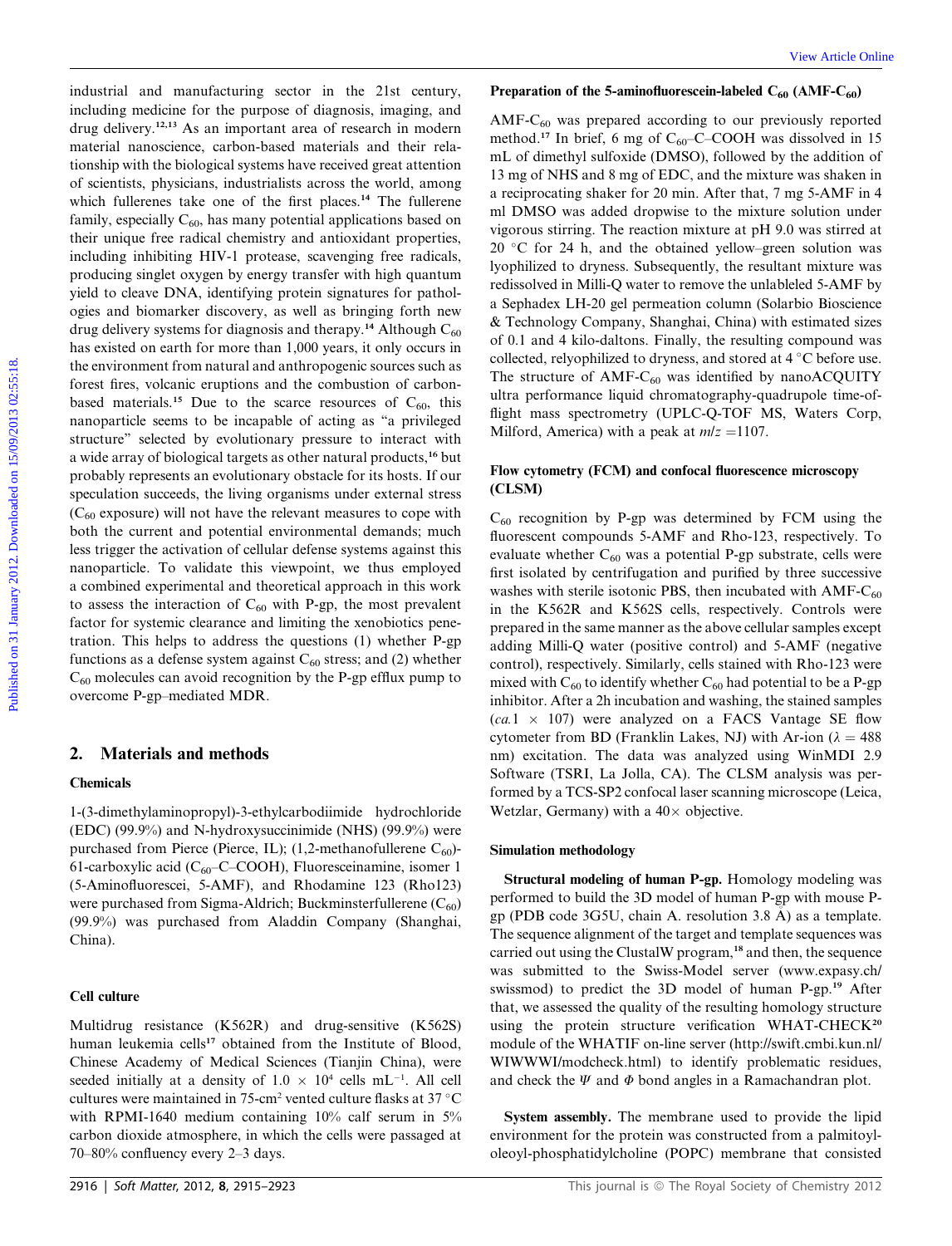industrial and manufacturing sector in the 21st century, including medicine for the purpose of diagnosis, imaging, and drug delivery.12,13 As an important area of research in modern material nanoscience, carbon-based materials and their relationship with the biological systems have received great attention of scientists, physicians, industrialists across the world, among which fullerenes take one of the first places.<sup>14</sup> The fullerene family, especially  $C_{60}$ , has many potential applications based on their unique free radical chemistry and antioxidant properties, including inhibiting HIV-1 protease, scavenging free radicals, producing singlet oxygen by energy transfer with high quantum yield to cleave DNA, identifying protein signatures for pathologies and biomarker discovery, as well as bringing forth new drug delivery systems for diagnosis and therapy.<sup>14</sup> Although  $C_{60}$ has existed on earth for more than 1,000 years, it only occurs in the environment from natural and anthropogenic sources such as forest fires, volcanic eruptions and the combustion of carbonbased materials.<sup>15</sup> Due to the scarce resources of  $C_{60}$ , this nanoparticle seems to be incapable of acting as ''a privileged structure'' selected by evolutionary pressure to interact with a wide array of biological targets as other natural products,<sup>16</sup> but probably represents an evolutionary obstacle for its hosts. If our speculation succeeds, the living organisms under external stress  $(C_{60}$  exposure) will not have the relevant measures to cope with both the current and potential environmental demands; much less trigger the activation of cellular defense systems against this nanoparticle. To validate this viewpoint, we thus employed a combined experimental and theoretical approach in this work to assess the interaction of  $C_{60}$  with P-gp, the most prevalent factor for systemic clearance and limiting the xenobiotics penetration. This helps to address the questions (1) whether P-gp functions as a defense system against  $C_{60}$  stress; and (2) whether  $C_{60}$  molecules can avoid recognition by the P-gp efflux pump to overcome P-gp–mediated MDR. industrial and municheuring sector in the 21st century. **Proparation of the SamionBurescen-labeted** contracted on the sample of the particle in the particle of the particle of the particle of the particle of the particle

## 2. Materials and methods

## Chemicals

1-(3-dimethylaminopropyl)-3-ethylcarbodiimide hydrochloride (EDC) (99.9%) and N-hydroxysuccinimide (NHS) (99.9%) were purchased from Pierce (Pierce, IL); (1,2-methanofullerene  $C_{60}$ )-61-carboxylic acid ( $C_{60}$ –C–COOH), Fluoresceinamine, isomer 1 (5-Aminofluorescei, 5-AMF), and Rhodamine 123 (Rho123) were purchased from Sigma-Aldrich; Buckminsterfullerene  $(C_{60})$ (99.9%) was purchased from Aladdin Company (Shanghai, China).

## Cell culture

Multidrug resistance (K562R) and drug-sensitive (K562S) human leukemia cells<sup>17</sup> obtained from the Institute of Blood, Chinese Academy of Medical Sciences (Tianjin China), were seeded initially at a density of  $1.0 \times 10^4$  cells mL<sup>-1</sup>. All cell cultures were maintained in 75-cm<sup>2</sup> vented culture flasks at 37  $\mathrm{^{\circ}C}$ with RPMI-1640 medium containing 10% calf serum in 5% carbon dioxide atmosphere, in which the cells were passaged at 70–80% confluency every 2–3 days.

#### Preparation of the 5-aminofluorescein-labeled  $C_{60}$  (AMF- $C_{60}$ )

AMF-C<sub>60</sub> was prepared according to our previously reported method.<sup>17</sup> In brief, 6 mg of  $C_{60}$ –C–COOH was dissolved in 15 mL of dimethyl sulfoxide (DMSO), followed by the addition of 13 mg of NHS and 8 mg of EDC, and the mixture was shaken in a reciprocating shaker for 20 min. After that, 7 mg 5-AMF in 4 ml DMSO was added dropwise to the mixture solution under vigorous stirring. The reaction mixture at pH 9.0 was stirred at 20  $\degree$ C for 24 h, and the obtained yellow–green solution was lyophilized to dryness. Subsequently, the resultant mixture was redissolved in Milli-Q water to remove the unlableled 5-AMF by a Sephadex LH-20 gel permeation column (Solarbio Bioscience & Technology Company, Shanghai, China) with estimated sizes of 0.1 and 4 kilo-daltons. Finally, the resulting compound was collected, relyophilized to dryness, and stored at 4 °C before use. The structure of  $AMF-C_{60}$  was identified by nanoACQUITY ultra performance liquid chromatography-quadrupole time-offlight mass spectrometry (UPLC-Q-TOF MS, Waters Corp, Milford, America) with a peak at  $m/z = 1107$ .

### Flow cytometry (FCM) and confocal fluorescence microscopy (CLSM)

 $C_{60}$  recognition by P-gp was determined by FCM using the fluorescent compounds 5-AMF and Rho-123, respectively. To evaluate whether  $C_{60}$  was a potential P-gp substrate, cells were first isolated by centrifugation and purified by three successive washes with sterile isotonic PBS, then incubated with  $AMF-C_{60}$ in the K562R and K562S cells, respectively. Controls were prepared in the same manner as the above cellular samples except adding Milli-Q water (positive control) and 5-AMF (negative control), respectively. Similarly, cells stained with Rho-123 were mixed with  $C_{60}$  to identify whether  $C_{60}$  had potential to be a P-gp inhibitor. After a 2h incubation and washing, the stained samples  $(ca.1 \times 107)$  were analyzed on a FACS Vantage SE flow cytometer from BD (Franklin Lakes, NJ) with Ar-ion ( $\lambda = 488$ nm) excitation. The data was analyzed using WinMDI 2.9 Software (TSRI, La Jolla, CA). The CLSM analysis was performed by a TCS-SP2 confocal laser scanning microscope (Leica, Wetzlar, Germany) with a  $40\times$  objective.

#### Simulation methodology

Structural modeling of human P-gp. Homology modeling was performed to build the 3D model of human P-gp with mouse Pgp (PDB code 3G5U, chain A. resolution 3.8 A) as a template. The sequence alignment of the target and template sequences was carried out using the ClustalW program,<sup>18</sup> and then, the sequence was submitted to the Swiss-Model server (www.expasy.ch/ swissmod) to predict the 3D model of human P-gp.<sup>19</sup> After that, we assessed the quality of the resulting homology structure using the protein structure verification WHAT-CHECK<sup>20</sup> module of the WHATIF on-line server (http://swift.cmbi.kun.nl/ WIWWWI/modcheck.html) to identify problematic residues, and check the  $\Psi$  and  $\Phi$  bond angles in a Ramachandran plot.

System assembly. The membrane used to provide the lipid environment for the protein was constructed from a palmitoyloleoyl-phosphatidylcholine (POPC) membrane that consisted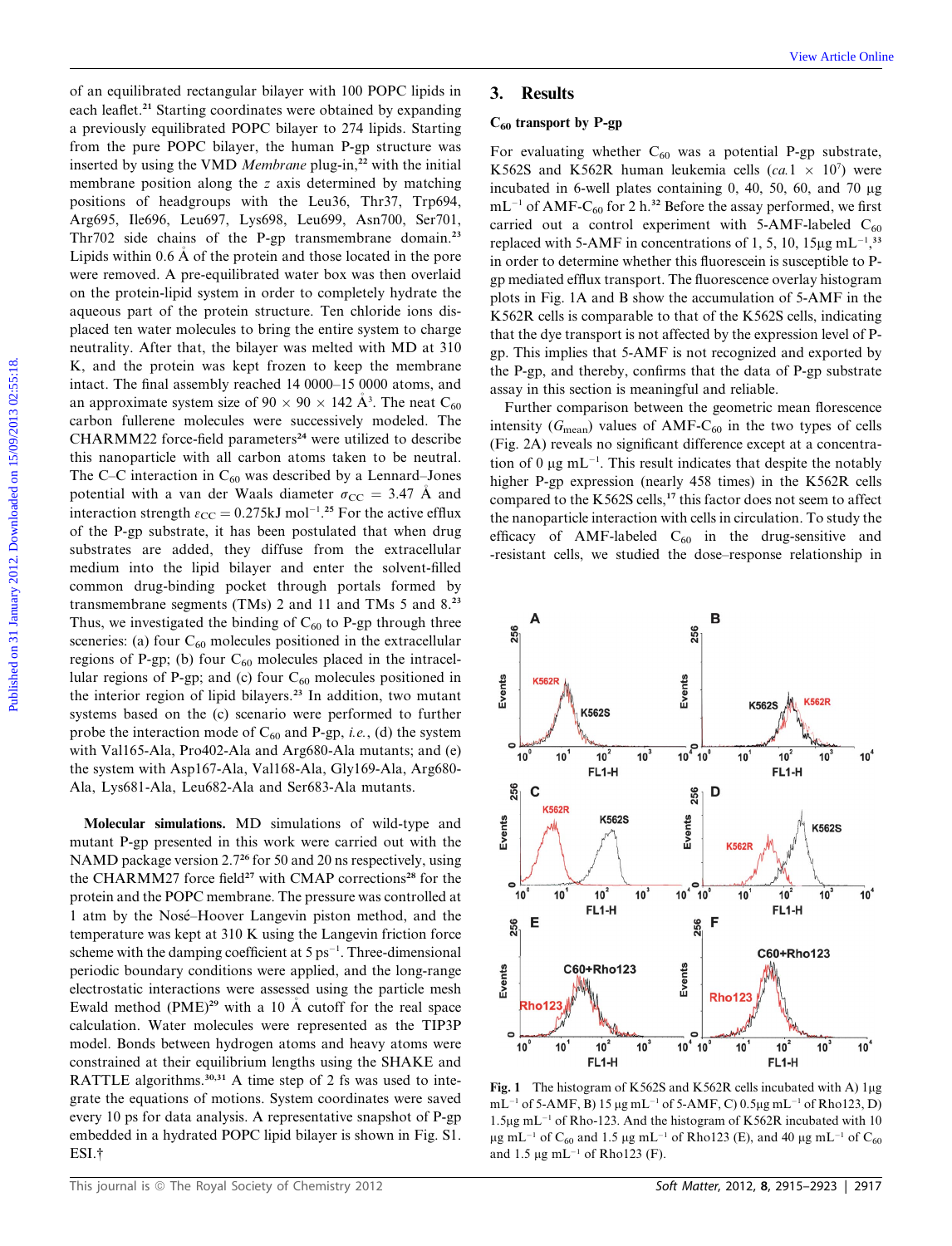of an equilibrated rectangular bilayer with 100 POPC lipids in each leaflet.<sup>21</sup> Starting coordinates were obtained by expanding a previously equilibrated POPC bilayer to 274 lipids. Starting from the pure POPC bilayer, the human P-gp structure was inserted by using the VMD Membrane plug-in,<sup>22</sup> with the initial membrane position along the z axis determined by matching positions of headgroups with the Leu36, Thr37, Trp694, Arg695, Ile696, Leu697, Lys698, Leu699, Asn700, Ser701, Thr702 side chains of the P-gp transmembrane domain.<sup>23</sup> Lipids within 0.6 A of the protein and those located in the pore were removed. A pre-equilibrated water box was then overlaid on the protein-lipid system in order to completely hydrate the aqueous part of the protein structure. Ten chloride ions displaced ten water molecules to bring the entire system to charge neutrality. After that, the bilayer was melted with MD at 310 K, and the protein was kept frozen to keep the membrane intact. The final assembly reached 14 0000–15 0000 atoms, and an approximate system size of  $90 \times 90 \times 142 \text{ Å}^3$ . The neat  $\text{C}_{60}$ carbon fullerene molecules were successively modeled. The  $CHARMM22$  force-field parameters<sup>24</sup> were utilized to describe this nanoparticle with all carbon atoms taken to be neutral. The C–C interaction in  $C_{60}$  was described by a Lennard–Jones potential with a van der Waals diameter  $\sigma_{CC} = 3.47$  A and interaction strength  $\varepsilon_{\text{CC}} = 0.275 \text{kJ mol}^{-1}$ .<sup>25</sup> For the active efflux of the P-gp substrate, it has been postulated that when drug substrates are added, they diffuse from the extracellular medium into the lipid bilayer and enter the solvent-filled common drug-binding pocket through portals formed by transmembrane segments (TMs) 2 and 11 and TMs 5 and 8.<sup>23</sup> Thus, we investigated the binding of  $C_{60}$  to P-gp through three sceneries: (a) four  $C_{60}$  molecules positioned in the extracellular regions of P-gp; (b) four  $C_{60}$  molecules placed in the intracellular regions of P-gp; and (c) four  $C_{60}$  molecules positioned in the interior region of lipid bilayers.<sup>23</sup> In addition, two mutant systems based on the (c) scenario were performed to further probe the interaction mode of  $C_{60}$  and P-gp, *i.e.*, (d) the system with Val165-Ala, Pro402-Ala and Arg680-Ala mutants; and (e) the system with Asp167-Ala, Val168-Ala, Gly169-Ala, Arg680- Ala, Lys681-Ala, Leu682-Ala and Ser683-Ala mutants. of an equilibrated restangale bilayer with 100 POPC linds in<br>
an electrodio secure bilayer so bursticle on 24 Linds Starting C<sub>on</sub> tensoring C<sub>o</sub>n tensoring Nebels<br>
an previously equilipred entrop constants are constant b

Molecular simulations. MD simulations of wild-type and mutant P-gp presented in this work were carried out with the NAMD package version 2.7<sup>26</sup> for 50 and 20 ns respectively, using the CHARMM27 force field<sup>27</sup> with CMAP corrections<sup>28</sup> for the protein and the POPC membrane. The pressure was controlled at 1 atm by the Nose–Hoover Langevin piston method, and the temperature was kept at 310 K using the Langevin friction force scheme with the damping coefficient at  $5 \text{ ps}^{-1}$ . Three-dimensional periodic boundary conditions were applied, and the long-range electrostatic interactions were assessed using the particle mesh Ewald method  $(PME)^{29}$  with a 10 Å cutoff for the real space calculation. Water molecules were represented as the TIP3P model. Bonds between hydrogen atoms and heavy atoms were constrained at their equilibrium lengths using the SHAKE and RATTLE algorithms.<sup>30,31</sup> A time step of 2 fs was used to integrate the equations of motions. System coordinates were saved every 10 ps for data analysis. A representative snapshot of P-gp embedded in a hydrated POPC lipid bilayer is shown in Fig. S1. ESI.†

## 3. Results

### $C_{60}$  transport by P-gp

For evaluating whether  $C_{60}$  was a potential P-gp substrate, K562S and K562R human leukemia cells  $(ca.1 \times 10^7)$  were incubated in 6-well plates containing  $0, 40, 50, 60,$  and  $70 \mu$ g  $mL^{-1}$  of AMF-C<sub>60</sub> for 2 h.<sup>32</sup> Before the assay performed, we first carried out a control experiment with 5-AMF-labeled  $C_{60}$ replaced with 5-AMF in concentrations of 1, 5, 10,  $15\mu g$  mL<sup>-1</sup>,<sup>33</sup> in order to determine whether this fluorescein is susceptible to Pgp mediated efflux transport. The fluorescence overlay histogram plots in Fig. 1A and B show the accumulation of 5-AMF in the K562R cells is comparable to that of the K562S cells, indicating that the dye transport is not affected by the expression level of Pgp. This implies that 5-AMF is not recognized and exported by the P-gp, and thereby, confirms that the data of P-gp substrate assay in this section is meaningful and reliable.

Further comparison between the geometric mean florescence intensity ( $G_{\text{mean}}$ ) values of AMF-C<sub>60</sub> in the two types of cells (Fig. 2A) reveals no significant difference except at a concentration of 0  $\mu$ g mL<sup>-1</sup>. This result indicates that despite the notably higher P-gp expression (nearly 458 times) in the K562R cells compared to the K562S cells,<sup>17</sup> this factor does not seem to affect the nanoparticle interaction with cells in circulation. To study the efficacy of AMF-labeled  $C_{60}$  in the drug-sensitive and -resistant cells, we studied the dose–response relationship in



Fig. 1 The histogram of K562S and K562R cells incubated with A)  $\log$  $mL^{-1}$  of 5-AMF, B) 15 µg mL<sup>-1</sup> of 5-AMF, C) 0.5µg mL<sup>-1</sup> of Rho123, D) 1.5 $\mu$ g mL<sup>-1</sup> of Rho-123. And the histogram of K562R incubated with 10  $\mu$ g mL<sup>-1</sup> of C<sub>60</sub> and 1.5  $\mu$ g mL<sup>-1</sup> of Rho123 (E), and 40  $\mu$ g mL<sup>-1</sup> of C<sub>60</sub> and 1.5  $\mu$ g mL<sup>-1</sup> of Rho123 (F).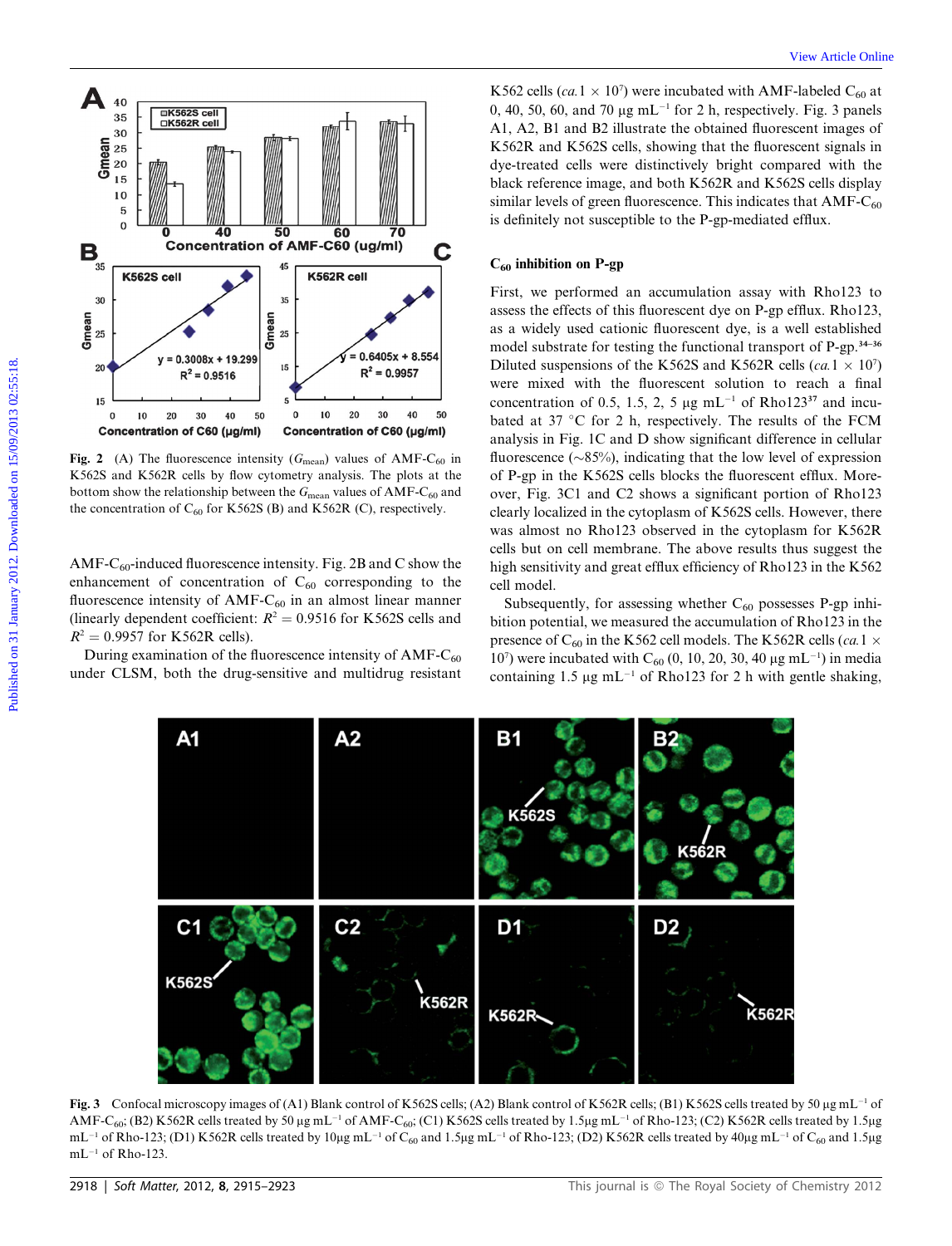

Fig. 2 (A) The fluorescence intensity ( $G_{\text{mean}}$ ) values of AMF-C<sub>60</sub> in K562S and K562R cells by flow cytometry analysis. The plots at the bottom show the relationship between the  $G_{\text{mean}}$  values of AMF-C<sub>60</sub> and the concentration of  $C_{60}$  for K562S (B) and K562R (C), respectively.

AMF-C<sub>60</sub>-induced fluorescence intensity. Fig. 2B and C show the enhancement of concentration of  $C_{60}$  corresponding to the fluorescence intensity of  $AMF-C_{60}$  in an almost linear manner (linearly dependent coefficient:  $R^2 = 0.9516$  for K562S cells and  $R^2 = 0.9957$  for K562R cells).

During examination of the fluorescence intensity of  $AMF-C_{60}$ under CLSM, both the drug-sensitive and multidrug resistant

K562 cells (ca.1  $\times$  10<sup>7</sup>) were incubated with AMF-labeled C<sub>60</sub> at 0, 40, 50, 60, and 70  $\mu$ g mL<sup>-1</sup> for 2 h, respectively. Fig. 3 panels A1, A2, B1 and B2 illustrate the obtained fluorescent images of K562R and K562S cells, showing that the fluorescent signals in dye-treated cells were distinctively bright compared with the black reference image, and both K562R and K562S cells display similar levels of green fluorescence. This indicates that  $AMF-C_{60}$ is definitely not susceptible to the P-gp-mediated efflux.

#### $C_{60}$  inhibition on P-gp

First, we performed an accumulation assay with Rho123 to assess the effects of this fluorescent dye on P-gp efflux. Rho123, as a widely used cationic fluorescent dye, is a well established model substrate for testing the functional transport of P-gp.34–36 Diluted suspensions of the K562S and K562R cells (ca.1  $\times$  10<sup>7</sup>) were mixed with the fluorescent solution to reach a final concentration of 0.5, 1.5, 2, 5  $\mu$ g mL<sup>-1</sup> of Rho123<sup>37</sup> and incubated at 37 °C for 2 h, respectively. The results of the FCM analysis in Fig. 1C and D show significant difference in cellular fluorescence ( $\sim$ 85%), indicating that the low level of expression of P-gp in the K562S cells blocks the fluorescent efflux. Moreover, Fig. 3C1 and C2 shows a significant portion of Rho123 clearly localized in the cytoplasm of K562S cells. However, there was almost no Rho123 observed in the cytoplasm for K562R cells but on cell membrane. The above results thus suggest the high sensitivity and great efflux efficiency of Rho123 in the K562 cell model.

Subsequently, for assessing whether  $C_{60}$  possesses P-gp inhibition potential, we measured the accumulation of Rho123 in the presence of C<sub>60</sub> in the K562 cell models. The K562R cells (ca.1  $\times$  $10<sup>7</sup>$ ) were incubated with C<sub>60</sub> (0, 10, 20, 30, 40 μg mL<sup>-1</sup>) in media containing 1.5  $\mu$ g mL<sup>-1</sup> of Rho123 for 2 h with gentle shaking,



Fig. 3 Confocal microscopy images of (A1) Blank control of K562S cells; (A2) Blank control of K562R cells; (B1) K562S cells treated by 50 µg mL<sup>-1</sup> of AMF-C<sub>60</sub>; (B2) K562R cells treated by 50 µg mL<sup>-1</sup> of AMF-C<sub>60</sub>; (C1) K562S cells treated by 1.5µg mL<sup>-1</sup> of Rho-123; (C2) K562R cells treated by 1.5µg  $mL^{-1}$  of Rho-123; (D1) K562R cells treated by 10µg mL<sup>-1</sup> of C<sub>60</sub> and 1.5µg mL<sup>-1</sup> of Rho-123; (D2) K562R cells treated by 40µg mL<sup>-1</sup> of C<sub>60</sub> and 1.5µg  $mL^{-1}$  of Rho-123.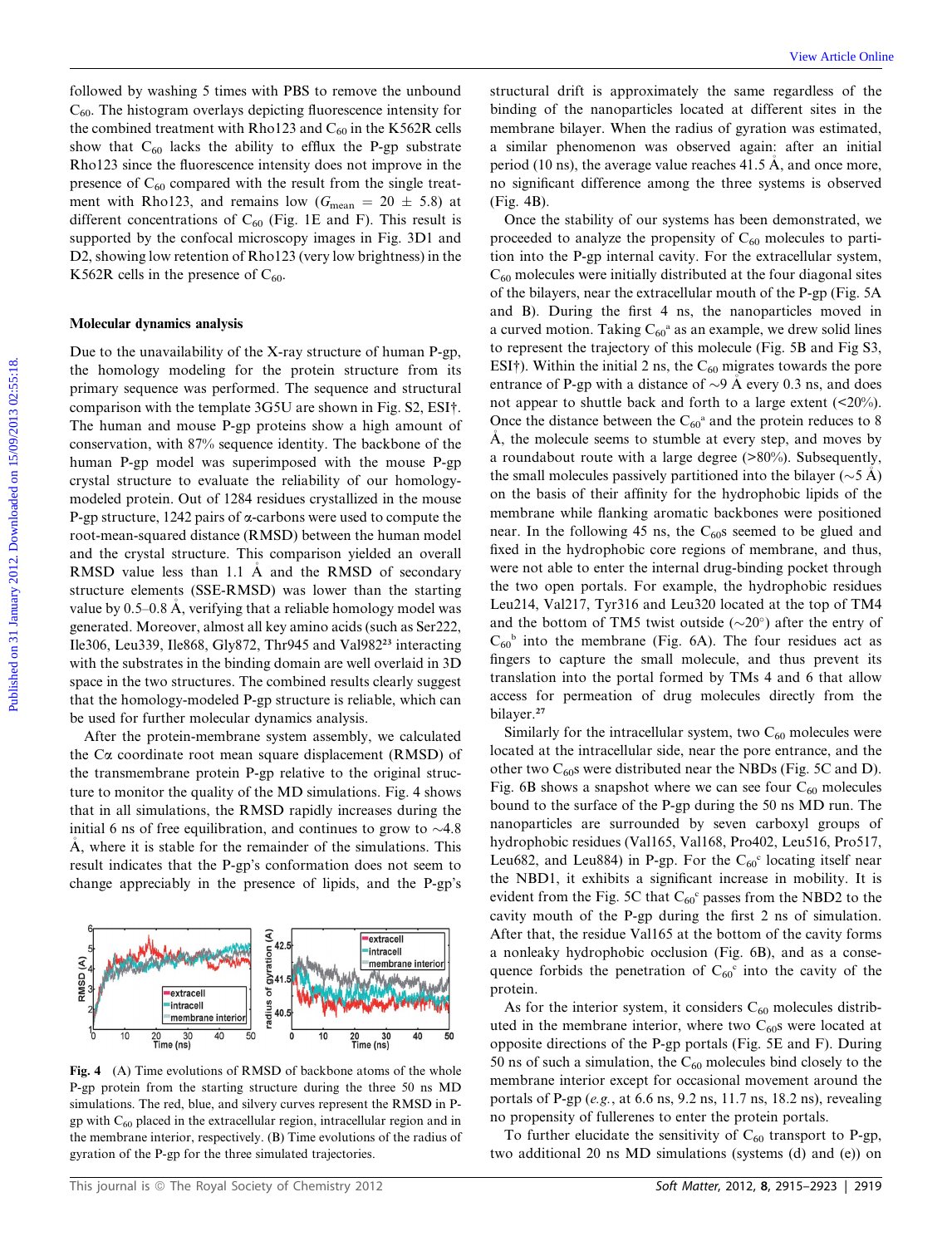followed by washing 5 times with PBS to remove the unbound  $C_{60}$ . The histogram overlays depicting fluorescence intensity for the combined treatment with Rho123 and  $C_{60}$  in the K562R cells show that  $C_{60}$  lacks the ability to efflux the P-gp substrate Rho123 since the fluorescence intensity does not improve in the presence of  $C_{60}$  compared with the result from the single treatment with Rho123, and remains low ( $G_{\text{mean}} = 20 \pm 5.8$ ) at different concentrations of  $C_{60}$  (Fig. 1E and F). This result is supported by the confocal microscopy images in Fig. 3D1 and D2, showing low retention of Rho123 (very low brightness) in the K562R cells in the presence of  $C_{60}$ .

#### Molecular dynamics analysis

Due to the unavailability of the X-ray structure of human P-gp, the homology modeling for the protein structure from its primary sequence was performed. The sequence and structural comparison with the template 3G5U are shown in Fig. S2, ESI†. The human and mouse P-gp proteins show a high amount of conservation, with 87% sequence identity. The backbone of the human P-gp model was superimposed with the mouse P-gp crystal structure to evaluate the reliability of our homologymodeled protein. Out of 1284 residues crystallized in the mouse P-gp structure, 1242 pairs of  $\alpha$ -carbons were used to compute the root-mean-squared distance (RMSD) between the human model and the crystal structure. This comparison yielded an overall RMSD value less than 1.1 A and the RMSD of secondary structure elements (SSE-RMSD) was lower than the starting value by 0.5–0.8 A, verifying that a reliable homology model was generated. Moreover, almost all key amino acids (such as Ser222, Ile306, Leu339, Ile868, Gly872, Thr945 and Val982<sup>23</sup> interacting with the substrates in the binding domain are well overlaid in 3D space in the two structures. The combined results clearly suggest that the homology-modeled P-gp structure is reliable, which can be used for further molecular dynamics analysis.

After the protein-membrane system assembly, we calculated the  $Ca$  coordinate root mean square displacement (RMSD) of the transmembrane protein P-gp relative to the original structure to monitor the quality of the MD simulations. Fig. 4 shows that in all simulations, the RMSD rapidly increases during the initial 6 ns of free equilibration, and continues to grow to  $\sim$ 4.8 A, where it is stable for the remainder of the simulations. This result indicates that the P-gp's conformation does not seem to change appreciably in the presence of lipids, and the P-gp's



Fig. 4 (A) Time evolutions of RMSD of backbone atoms of the whole P-gp protein from the starting structure during the three 50 ns MD simulations. The red, blue, and silvery curves represent the RMSD in Pgp with  $C_{60}$  placed in the extracellular region, intracellular region and in the membrane interior, respectively. (B) Time evolutions of the radius of gyration of the P-gp for the three simulated trajectories.

structural drift is approximately the same regardless of the binding of the nanoparticles located at different sites in the membrane bilayer. When the radius of gyration was estimated, a similar phenomenon was observed again: after an initial period (10 ns), the average value reaches 41.5 A, and once more, no significant difference among the three systems is observed (Fig. 4B).

Once the stability of our systems has been demonstrated, we proceeded to analyze the propensity of  $C_{60}$  molecules to partition into the P-gp internal cavity. For the extracellular system,  $C_{60}$  molecules were initially distributed at the four diagonal sites of the bilayers, near the extracellular mouth of the P-gp (Fig. 5A and B). During the first 4 ns, the nanoparticles moved in a curved motion. Taking  $C_{60}$ <sup>a</sup> as an example, we drew solid lines to represent the trajectory of this molecule (Fig. 5B and Fig S3, ESI<sup>†</sup>). Within the initial 2 ns, the  $C_{60}$  migrates towards the pore entrance of P-gp with a distance of  $\sim$ 9 A every 0.3 ns, and does not appear to shuttle back and forth to a large extent (<20%). Once the distance between the  $C_{60}$ <sup>a</sup> and the protein reduces to 8 A, the molecule seems to stumble at every step, and moves by a roundabout route with a large degree (>80%). Subsequently, the small molecules passively partitioned into the bilayer ( $\sim$ 5 A) on the basis of their affinity for the hydrophobic lipids of the membrane while flanking aromatic backbones were positioned near. In the following 45 ns, the  $C_{60}$ s seemed to be glued and fixed in the hydrophobic core regions of membrane, and thus, were not able to enter the internal drug-binding pocket through the two open portals. For example, the hydrophobic residues Leu214, Val217, Tyr316 and Leu320 located at the top of TM4 and the bottom of TM5 twist outside  $(\sim 20^{\circ})$  after the entry of  $C_{60}$ <sup>b</sup> into the membrane (Fig. 6A). The four residues act as fingers to capture the small molecule, and thus prevent its translation into the portal formed by TMs 4 and 6 that allow access for permeation of drug molecules directly from the bilayer.<sup>27</sup> Followed by washing 5 times with PIBs in remove the unibound structural dril is approximately the sume regardles of the the headquarta correlation (Fig. 126 Absolute of the many relation of the many relations of the stati

> Similarly for the intracellular system, two  $C_{60}$  molecules were located at the intracellular side, near the pore entrance, and the other two  $C_{60}$ s were distributed near the NBDs (Fig. 5C and D). Fig. 6B shows a snapshot where we can see four  $C_{60}$  molecules bound to the surface of the P-gp during the 50 ns MD run. The nanoparticles are surrounded by seven carboxyl groups of hydrophobic residues (Val165, Val168, Pro402, Leu516, Pro517, Leu682, and Leu884) in P-gp. For the  $C_{60}$ <sup>c</sup> locating itself near the NBD1, it exhibits a significant increase in mobility. It is evident from the Fig. 5C that  $C_{60}$ ° passes from the NBD2 to the cavity mouth of the P-gp during the first 2 ns of simulation. After that, the residue Val165 at the bottom of the cavity forms a nonleaky hydrophobic occlusion (Fig. 6B), and as a consequence forbids the penetration of  $C_{60}$ <sup>c</sup> into the cavity of the protein.

> As for the interior system, it considers  $C_{60}$  molecules distributed in the membrane interior, where two  $C_{60}$ s were located at opposite directions of the P-gp portals (Fig. 5E and F). During 50 ns of such a simulation, the  $C_{60}$  molecules bind closely to the membrane interior except for occasional movement around the portals of P-gp (e.g., at 6.6 ns, 9.2 ns, 11.7 ns, 18.2 ns), revealing no propensity of fullerenes to enter the protein portals.

> To further elucidate the sensitivity of  $C_{60}$  transport to P-gp, two additional 20 ns MD simulations (systems (d) and (e)) on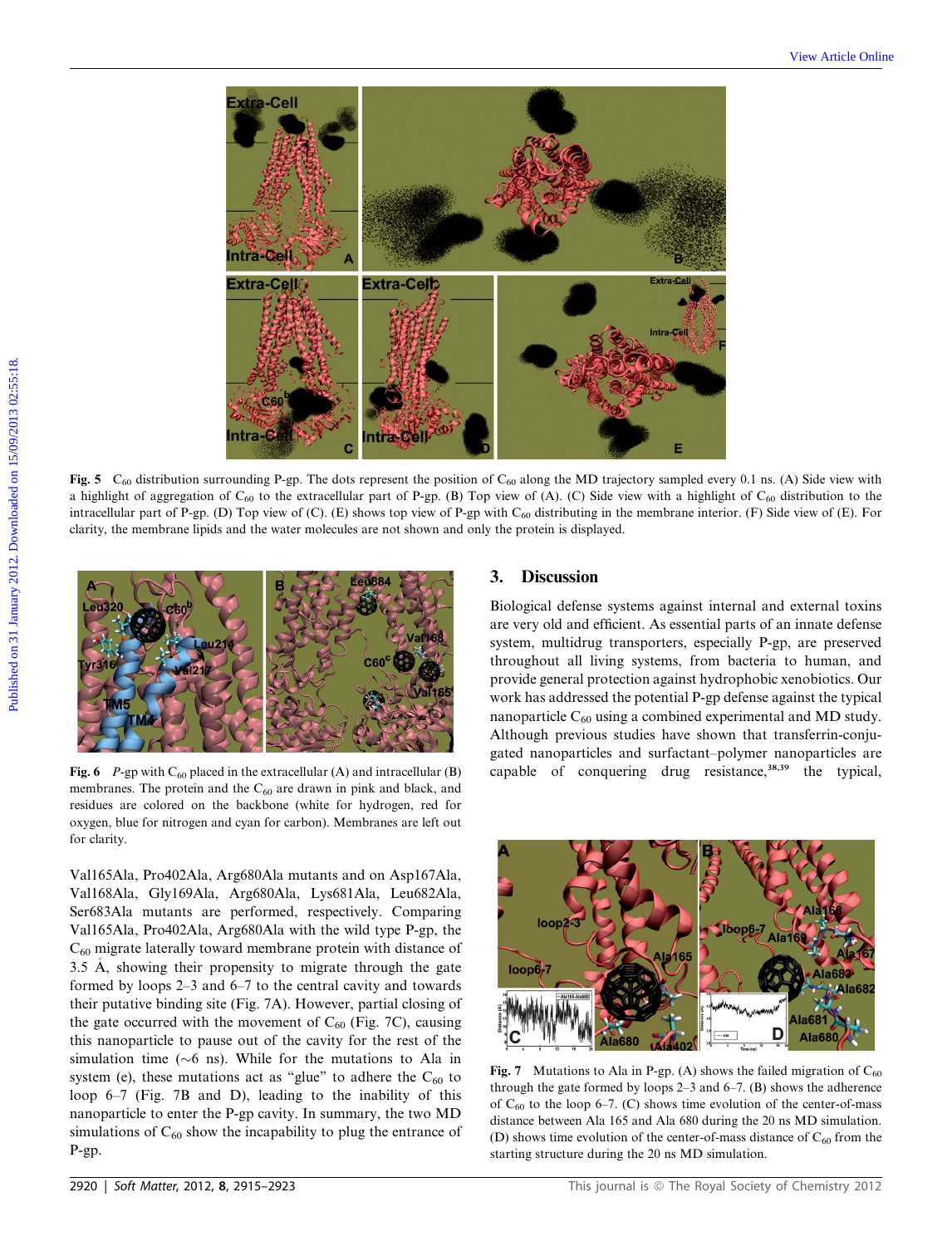

Fig. 5  $C_{60}$  distribution surrounding P-gp. The dots represent the position of  $C_{60}$  along the MD trajectory sampled every 0.1 ns. (A) Side view with a highlight of aggregation of  $C_{60}$  to the extracellular part of P-gp. (B) Top view of (A). (C) Side view with a highlight of  $C_{60}$  distribution to the intracellular part of P-gp. (D) Top view of (C). (E) shows top view of P-gp with  $C_{60}$  distributing in the membrane interior. (F) Side view of (E). For clarity, the membrane lipids and the water molecules are not shown and only the protein is displayed.



Fig. 6 P-gp with  $C_{60}$  placed in the extracellular (A) and intracellular (B) membranes. The protein and the  $C_{60}$  are drawn in pink and black, and residues are colored on the backbone (white for hydrogen, red for oxygen, blue for nitrogen and cyan for carbon). Membranes are left out for clarity.

Val165Ala, Pro402Ala, Arg680Ala mutants and on Asp167Ala, Val168Ala, Gly169Ala, Arg680Ala, Lys681Ala, Leu682Ala, Ser683Ala mutants are performed, respectively. Comparing Val165Ala, Pro402Ala, Arg680Ala with the wild type P-gp, the  $C_{60}$  migrate laterally toward membrane protein with distance of 3.5 A, showing their propensity to migrate through the gate formed by loops 2–3 and 6–7 to the central cavity and towards their putative binding site (Fig. 7A). However, partial closing of the gate occurred with the movement of  $C_{60}$  (Fig. 7C), causing this nanoparticle to pause out of the cavity for the rest of the simulation time ( $\sim$ 6 ns). While for the mutations to Ala in system (e), these mutations act as "glue" to adhere the  $C_{60}$  to loop 6–7 (Fig. 7B and D), leading to the inability of this nanoparticle to enter the P-gp cavity. In summary, the two MD simulations of  $C_{60}$  show the incapability to plug the entrance of P-gp.

# 3. Discussion

Biological defense systems against internal and external toxins are very old and efficient. As essential parts of an innate defense system, multidrug transporters, especially P-gp, are preserved throughout all living systems, from bacteria to human, and provide general protection against hydrophobic xenobiotics. Our work has addressed the potential P-gp defense against the typical nanoparticle  $C_{60}$  using a combined experimental and MD study. Although previous studies have shown that transferrin-conjugated nanoparticles and surfactant–polymer nanoparticles are capable of conquering drug resistance,<sup>38,39</sup> the typical,



Fig. 7 Mutations to Ala in P-gp. (A) shows the failed migration of  $C_{60}$ through the gate formed by loops 2–3 and 6–7. (B) shows the adherence of  $C_{60}$  to the loop 6–7. (C) shows time evolution of the center-of-mass distance between Ala 165 and Ala 680 during the 20 ns MD simulation. (D) shows time evolution of the center-of-mass distance of  $C_{60}$  from the starting structure during the 20 ns MD simulation.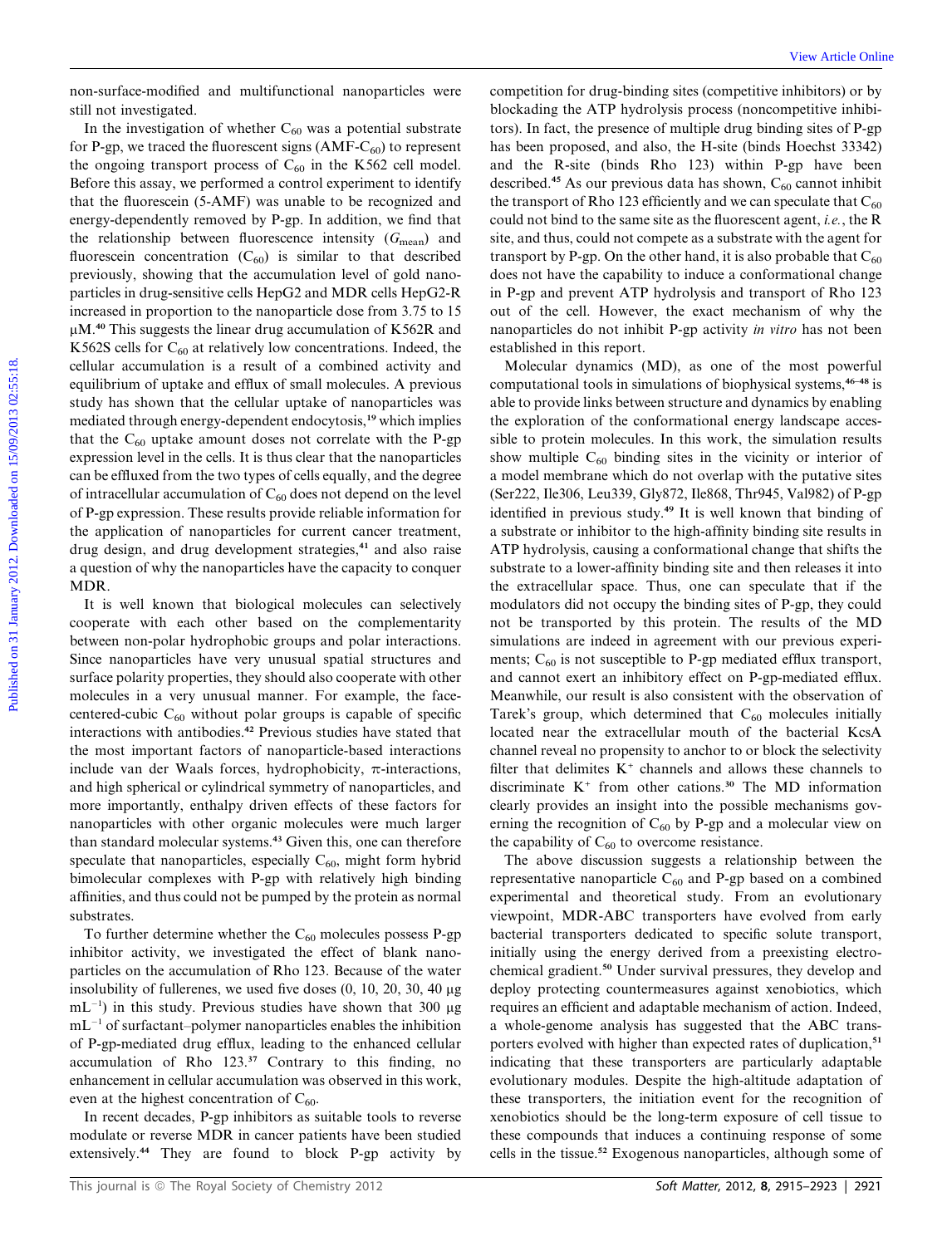non-surface-modified and multifunctional nanoparticles were still not investigated.

In the investigation of whether  $C_{60}$  was a potential substrate for P-gp, we traced the fluorescent signs  $(AMF-C_{60})$  to represent the ongoing transport process of  $C_{60}$  in the K562 cell model. Before this assay, we performed a control experiment to identify that the fluorescein (5-AMF) was unable to be recognized and energy-dependently removed by P-gp. In addition, we find that the relationship between fluorescence intensity  $(G_{mean})$  and fluorescein concentration  $(C_{60})$  is similar to that described previously, showing that the accumulation level of gold nanoparticles in drug-sensitive cells HepG2 and MDR cells HepG2-R increased in proportion to the nanoparticle dose from 3.75 to 15  $\mu$ M.<sup>40</sup> This suggests the linear drug accumulation of K562R and K562S cells for  $C_{60}$  at relatively low concentrations. Indeed, the cellular accumulation is a result of a combined activity and equilibrium of uptake and efflux of small molecules. A previous study has shown that the cellular uptake of nanoparticles was mediated through energy-dependent endocytosis,<sup>19</sup> which implies that the  $C_{60}$  uptake amount doses not correlate with the P-gp expression level in the cells. It is thus clear that the nanoparticles can be effluxed from the two types of cells equally, and the degree of intracellular accumulation of  $C_{60}$  does not depend on the level of P-gp expression. These results provide reliable information for the application of nanoparticles for current cancer treatment, drug design, and drug development strategies,<sup>41</sup> and also raise a question of why the nanoparticles have the capacity to conquer MDR. non-surface-modified and multifunctional anaryticities were competition for thus kinding sits (competitive inherenvolter). In this investigation of whether  $P_{\text{opt}}$  with the three proposed (multifunctional anaryticle or

It is well known that biological molecules can selectively cooperate with each other based on the complementarity between non-polar hydrophobic groups and polar interactions. Since nanoparticles have very unusual spatial structures and surface polarity properties, they should also cooperate with other molecules in a very unusual manner. For example, the facecentered-cubic  $C_{60}$  without polar groups is capable of specific interactions with antibodies.<sup>42</sup> Previous studies have stated that the most important factors of nanoparticle-based interactions include van der Waals forces, hydrophobicity,  $\pi$ -interactions, and high spherical or cylindrical symmetry of nanoparticles, and more importantly, enthalpy driven effects of these factors for nanoparticles with other organic molecules were much larger than standard molecular systems.<sup>43</sup> Given this, one can therefore speculate that nanoparticles, especially  $C_{60}$ , might form hybrid bimolecular complexes with P-gp with relatively high binding affinities, and thus could not be pumped by the protein as normal substrates.

To further determine whether the  $C_{60}$  molecules possess P-gp inhibitor activity, we investigated the effect of blank nanoparticles on the accumulation of Rho 123. Because of the water insolubility of fullerenes, we used five doses  $(0, 10, 20, 30, 40 \mu g)$  $mL^{-1}$ ) in this study. Previous studies have shown that 300  $\mu$ g  $mL^{-1}$  of surfactant–polymer nanoparticles enables the inhibition of P-gp-mediated drug efflux, leading to the enhanced cellular accumulation of Rho 123.<sup>37</sup> Contrary to this finding, no enhancement in cellular accumulation was observed in this work, even at the highest concentration of  $C_{60}$ .

In recent decades, P-gp inhibitors as suitable tools to reverse modulate or reverse MDR in cancer patients have been studied extensively.<sup>44</sup> They are found to block P-gp activity by

competition for drug-binding sites (competitive inhibitors) or by blockading the ATP hydrolysis process (noncompetitive inhibitors). In fact, the presence of multiple drug binding sites of P-gp has been proposed, and also, the H-site (binds Hoechst 33342) and the R-site (binds Rho 123) within P-gp have been described.<sup>45</sup> As our previous data has shown,  $C_{60}$  cannot inhibit the transport of Rho 123 efficiently and we can speculate that  $C_{60}$ could not bind to the same site as the fluorescent agent, i.e., the R site, and thus, could not compete as a substrate with the agent for transport by P-gp. On the other hand, it is also probable that  $C_{60}$ does not have the capability to induce a conformational change in P-gp and prevent ATP hydrolysis and transport of Rho 123 out of the cell. However, the exact mechanism of why the nanoparticles do not inhibit P-gp activity in vitro has not been established in this report.

Molecular dynamics (MD), as one of the most powerful computational tools in simulations of biophysical systems,  $46-48$  is able to provide links between structure and dynamics by enabling the exploration of the conformational energy landscape accessible to protein molecules. In this work, the simulation results show multiple  $C_{60}$  binding sites in the vicinity or interior of a model membrane which do not overlap with the putative sites (Ser222, Ile306, Leu339, Gly872, Ile868, Thr945, Val982) of P-gp identified in previous study.<sup>49</sup> It is well known that binding of a substrate or inhibitor to the high-affinity binding site results in ATP hydrolysis, causing a conformational change that shifts the substrate to a lower-affinity binding site and then releases it into the extracellular space. Thus, one can speculate that if the modulators did not occupy the binding sites of P-gp, they could not be transported by this protein. The results of the MD simulations are indeed in agreement with our previous experiments;  $C_{60}$  is not susceptible to P-gp mediated efflux transport, and cannot exert an inhibitory effect on P-gp-mediated efflux. Meanwhile, our result is also consistent with the observation of Tarek's group, which determined that  $C_{60}$  molecules initially located near the extracellular mouth of the bacterial KcsA channel reveal no propensity to anchor to or block the selectivity filter that delimites  $K^+$  channels and allows these channels to discriminate  $K^+$  from other cations.<sup>30</sup> The MD information clearly provides an insight into the possible mechanisms governing the recognition of  $C_{60}$  by P-gp and a molecular view on the capability of  $C_{60}$  to overcome resistance.

The above discussion suggests a relationship between the representative nanoparticle  $C_{60}$  and P-gp based on a combined experimental and theoretical study. From an evolutionary viewpoint, MDR-ABC transporters have evolved from early bacterial transporters dedicated to specific solute transport, initially using the energy derived from a preexisting electrochemical gradient.<sup>50</sup> Under survival pressures, they develop and deploy protecting countermeasures against xenobiotics, which requires an efficient and adaptable mechanism of action. Indeed, a whole-genome analysis has suggested that the ABC transporters evolved with higher than expected rates of duplication,<sup>51</sup> indicating that these transporters are particularly adaptable evolutionary modules. Despite the high-altitude adaptation of these transporters, the initiation event for the recognition of xenobiotics should be the long-term exposure of cell tissue to these compounds that induces a continuing response of some cells in the tissue.<sup>52</sup> Exogenous nanoparticles, although some of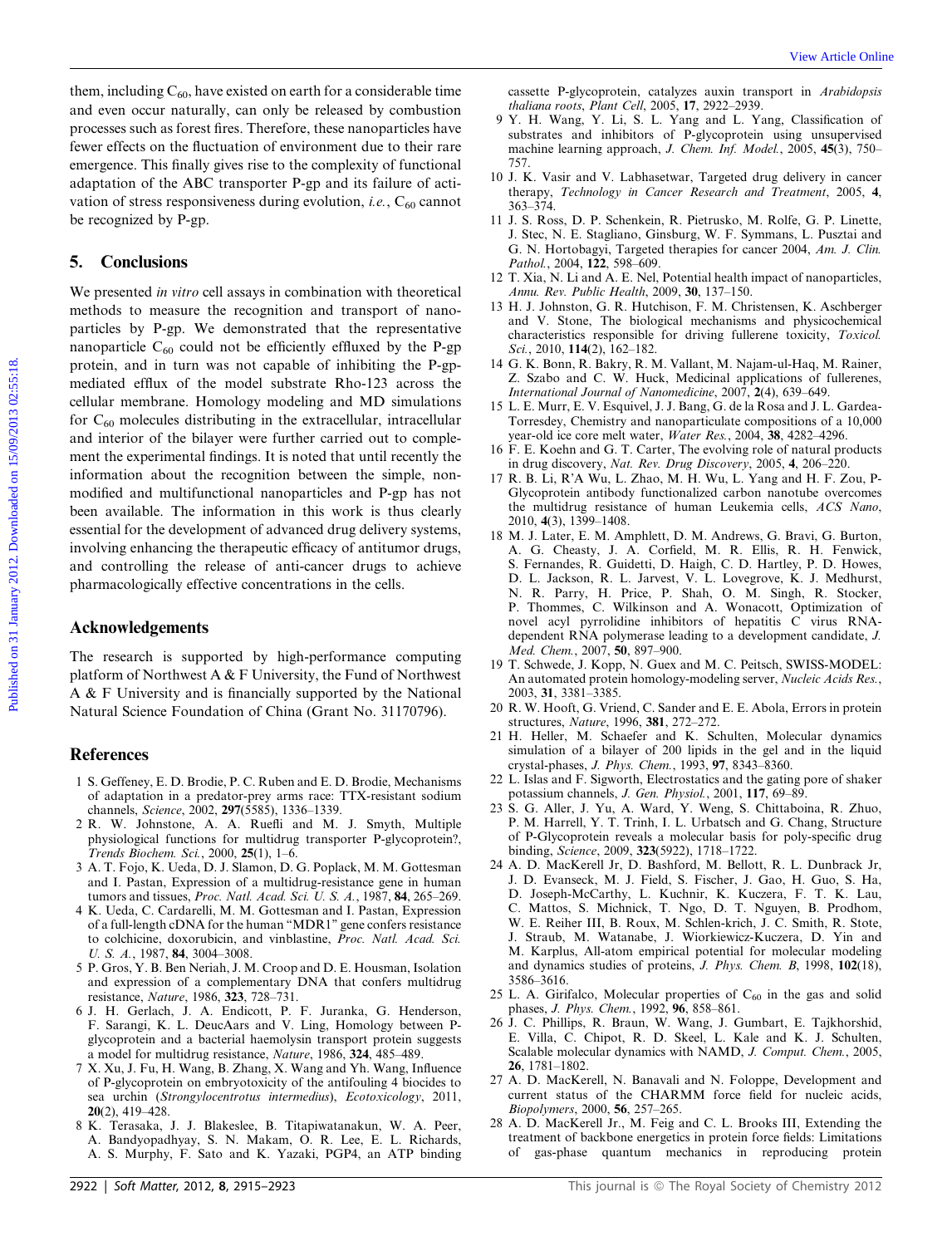them, including  $C_{60}$ , have existed on earth for a considerable time and even occur naturally, can only be released by combustion processes such as forest fires. Therefore, these nanoparticles have fewer effects on the fluctuation of environment due to their rare emergence. This finally gives rise to the complexity of functional adaptation of the ABC transporter P-gp and its failure of activation of stress responsiveness during evolution, i.e.,  $C_{60}$  cannot be recognized by P-gp.

## 5. Conclusions

We presented in vitro cell assays in combination with theoretical methods to measure the recognition and transport of nanoparticles by P-gp. We demonstrated that the representative nanoparticle  $C_{60}$  could not be efficiently effluxed by the P-gp protein, and in turn was not capable of inhibiting the P-gpmediated efflux of the model substrate Rho-123 across the cellular membrane. Homology modeling and MD simulations for  $C_{60}$  molecules distributing in the extracellular, intracellular and interior of the bilayer were further carried out to complement the experimental findings. It is noted that until recently the information about the recognition between the simple, nonmodified and multifunctional nanoparticles and P-gp has not been available. The information in this work is thus clearly essential for the development of advanced drug delivery systems, involving enhancing the therapeutic efficacy of antitumor drugs, and controlling the release of anti-cancer drugs to achieve pharmacologically effective concentrations in the cells. Herm, including C<sub>os</sub> have existed on earth for a considerable inter-<br>and earth considerable considerable considerable considerable considerable considerable processes and an forest disc and considerable considerable of

#### Acknowledgements

The research is supported by high-performance computing platform of Northwest A  $&$  F University, the Fund of Northwest A & F University and is financially supported by the National Natural Science Foundation of China (Grant No. 31170796).

#### References

- 1 S. Geffeney, E. D. Brodie, P. C. Ruben and E. D. Brodie, Mechanisms of adaptation in a predator-prey arms race: TTX-resistant sodium channels, Science, 2002, 297(5585), 1336–1339.
- 2 R. W. Johnstone, A. A. Ruefli and M. J. Smyth, Multiple physiological functions for multidrug transporter P-glycoprotein?, Trends Biochem. Sci., 2000, 25(1), 1–6.
- 3 A. T. Fojo, K. Ueda, D. J. Slamon, D. G. Poplack, M. M. Gottesman and I. Pastan, Expression of a multidrug-resistance gene in human tumors and tissues, Proc. Natl. Acad. Sci. U. S. A., 1987, 84, 265–269.
- 4 K. Ueda, C. Cardarelli, M. M. Gottesman and I. Pastan, Expression of a full-length cDNA for the human ''MDR1'' gene confers resistance to colchicine, doxorubicin, and vinblastine, Proc. Natl. Acad. Sci. U. S. A., 1987, **84**, 3004–3008.
- 5 P. Gros, Y. B. Ben Neriah, J. M. Croop and D. E. Housman, Isolation and expression of a complementary DNA that confers multidrug resistance, Nature, 1986, 323, 728–731.
- 6 J. H. Gerlach, J. A. Endicott, P. F. Juranka, G. Henderson, F. Sarangi, K. L. DeucAars and V. Ling, Homology between Pglycoprotein and a bacterial haemolysin transport protein suggests a model for multidrug resistance, Nature, 1986, 324, 485–489.
- 7 X. Xu, J. Fu, H. Wang, B. Zhang, X. Wang and Yh. Wang, Influence of P-glycoprotein on embryotoxicity of the antifouling 4 biocides to sea urchin (Strongylocentrotus intermedius), Ecotoxicology, 2011, 20(2), 419–428.
- 8 K. Terasaka, J. J. Blakeslee, B. Titapiwatanakun, W. A. Peer, A. Bandyopadhyay, S. N. Makam, O. R. Lee, E. L. Richards, A. S. Murphy, F. Sato and K. Yazaki, PGP4, an ATP binding

cassette P-glycoprotein, catalyzes auxin transport in Arabidopsis thaliana roots, Plant Cell, 2005, 17, 2922–2939.

- 9 Y. H. Wang, Y. Li, S. L. Yang and L. Yang, Classification of substrates and inhibitors of P-glycoprotein using unsupervised machine learning approach, J. Chem. Inf. Model., 2005, 45(3), 750– 757.
- 10 J. K. Vasir and V. Labhasetwar, Targeted drug delivery in cancer therapy, Technology in Cancer Research and Treatment, 2005, 4, 363–374.
- 11 J. S. Ross, D. P. Schenkein, R. Pietrusko, M. Rolfe, G. P. Linette, J. Stec, N. E. Stagliano, Ginsburg, W. F. Symmans, L. Pusztai and G. N. Hortobagyi, Targeted therapies for cancer 2004, Am. J. Clin. Pathol., 2004, 122, 598-609.
- 12 T. Xia, N. Li and A. E. Nel, Potential health impact of nanoparticles, Annu. Rev. Public Health, 2009, 30, 137–150.
- 13 H. J. Johnston, G. R. Hutchison, F. M. Christensen, K. Aschberger and V. Stone, The biological mechanisms and physicochemical characteristics responsible for driving fullerene toxicity, Toxicol. Sci., 2010,  $114(2)$ ,  $162-182$ .
- 14 G. K. Bonn, R. Bakry, R. M. Vallant, M. Najam-ul-Haq, M. Rainer, Z. Szabo and C. W. Huck, Medicinal applications of fullerenes, International Journal of Nanomedicine, 2007, 2(4), 639–649.
- 15 L. E. Murr, E. V. Esquivel, J. J. Bang, G. de la Rosa and J. L. Gardea-Torresdey, Chemistry and nanoparticulate compositions of a 10,000 year-old ice core melt water, Water Res., 2004, 38, 4282–4296.
- 16 F. E. Koehn and G. T. Carter, The evolving role of natural products in drug discovery, Nat. Rev. Drug Discovery, 2005, 4, 206–220.
- 17 R. B. Li, R'A Wu, L. Zhao, M. H. Wu, L. Yang and H. F. Zou, P-Glycoprotein antibody functionalized carbon nanotube overcomes the multidrug resistance of human Leukemia cells, ACS Nano, 2010, 4(3), 1399–1408.
- 18 M. J. Later, E. M. Amphlett, D. M. Andrews, G. Bravi, G. Burton, A. G. Cheasty, J. A. Corfield, M. R. Ellis, R. H. Fenwick, S. Fernandes, R. Guidetti, D. Haigh, C. D. Hartley, P. D. Howes, D. L. Jackson, R. L. Jarvest, V. L. Lovegrove, K. J. Medhurst, N. R. Parry, H. Price, P. Shah, O. M. Singh, R. Stocker, P. Thommes, C. Wilkinson and A. Wonacott, Optimization of novel acyl pyrrolidine inhibitors of hepatitis C virus RNAdependent RNA polymerase leading to a development candidate, J. Med. Chem., 2007, 50, 897–900.
- 19 T. Schwede, J. Kopp, N. Guex and M. C. Peitsch, SWISS-MODEL: An automated protein homology-modeling server, Nucleic Acids Res., 2003, 31, 3381–3385.
- 20 R. W. Hooft, G. Vriend, C. Sander and E. E. Abola, Errors in protein structures, Nature, 1996, 381, 272–272.
- 21 H. Heller, M. Schaefer and K. Schulten, Molecular dynamics simulation of a bilayer of 200 lipids in the gel and in the liquid crystal-phases, J. Phys. Chem., 1993, 97, 8343–8360.
- 22 L. Islas and F. Sigworth, Electrostatics and the gating pore of shaker potassium channels, J. Gen. Physiol., 2001, 117, 69–89.
- 23 S. G. Aller, J. Yu, A. Ward, Y. Weng, S. Chittaboina, R. Zhuo, P. M. Harrell, Y. T. Trinh, I. L. Urbatsch and G. Chang, Structure of P-Glycoprotein reveals a molecular basis for poly-specific drug binding, Science, 2009, 323(5922), 1718–1722.
- 24 A. D. MacKerell Jr, D. Bashford, M. Bellott, R. L. Dunbrack Jr, J. D. Evanseck, M. J. Field, S. Fischer, J. Gao, H. Guo, S. Ha, D. Joseph-McCarthy, L. Kuchnir, K. Kuczera, F. T. K. Lau, C. Mattos, S. Michnick, T. Ngo, D. T. Nguyen, B. Prodhom, W. E. Reiher III, B. Roux, M. Schlen-krich, J. C. Smith, R. Stote, J. Straub, M. Watanabe, J. Wiorkiewicz-Kuczera, D. Yin and M. Karplus, All-atom empirical potential for molecular modeling and dynamics studies of proteins, J. Phys. Chem. B, 1998, 102(18), 3586–3616.
- 25 L. A. Girifalco, Molecular properties of  $C_{60}$  in the gas and solid phases, J. Phys. Chem., 1992, 96, 858–861.
- 26 J. C. Phillips, R. Braun, W. Wang, J. Gumbart, E. Tajkhorshid, E. Villa, C. Chipot, R. D. Skeel, L. Kale and K. J. Schulten, Scalable molecular dynamics with NAMD, J. Comput. Chem., 2005, 26, 1781–1802.
- 27 A. D. MacKerell, N. Banavali and N. Foloppe, Development and current status of the CHARMM force field for nucleic acids, Biopolymers, 2000, 56, 257–265.
- 28 A. D. MacKerell Jr., M. Feig and C. L. Brooks III, Extending the treatment of backbone energetics in protein force fields: Limitations of gas-phase quantum mechanics in reproducing protein